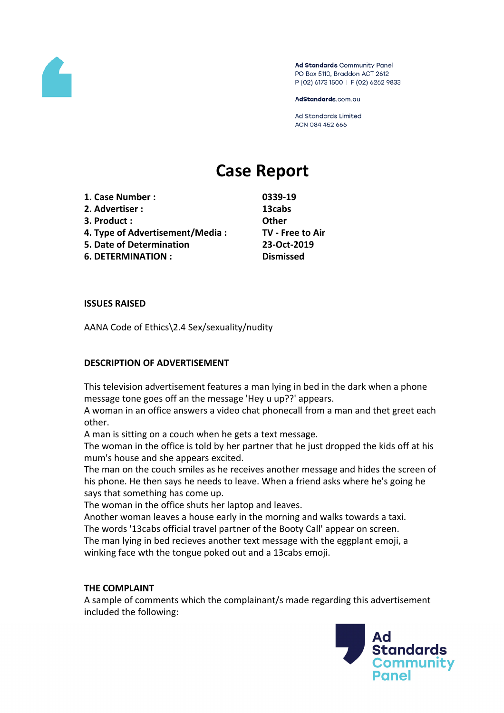

Ad Standards Community Panel PO Box 5110, Braddon ACT 2612 P (02) 6173 1500 | F (02) 6262 9833

AdStandards.com.au

Ad Standards Limited ACN 084 452 666

# **Case Report**

- **1. Case Number : 0339-19**
- **2. Advertiser : 13cabs**
- **3. Product : Other**
- **4. Type of Advertisement/Media : TV - Free to Air**
- **5. Date of Determination 23-Oct-2019**

**6. DETERMINATION : Dismissed**

#### **ISSUES RAISED**

AANA Code of Ethics\2.4 Sex/sexuality/nudity

## **DESCRIPTION OF ADVERTISEMENT**

This television advertisement features a man lying in bed in the dark when a phone message tone goes off an the message 'Hey u up??' appears.

A woman in an office answers a video chat phonecall from a man and thet greet each other.

A man is sitting on a couch when he gets a text message.

The woman in the office is told by her partner that he just dropped the kids off at his mum's house and she appears excited.

The man on the couch smiles as he receives another message and hides the screen of his phone. He then says he needs to leave. When a friend asks where he's going he says that something has come up.

The woman in the office shuts her laptop and leaves.

Another woman leaves a house early in the morning and walks towards a taxi. The words '13cabs official travel partner of the Booty Call' appear on screen. The man lying in bed recieves another text message with the eggplant emoji, a

winking face wth the tongue poked out and a 13cabs emoji.

## **THE COMPLAINT**

A sample of comments which the complainant/s made regarding this advertisement included the following:

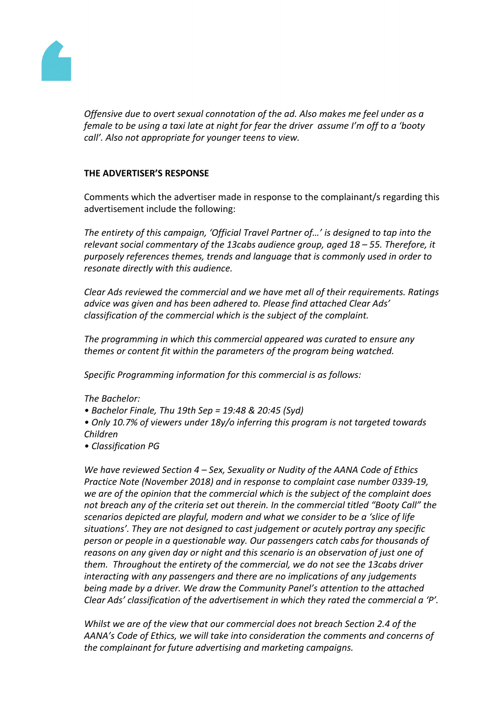

*Offensive due to overt sexual connotation of the ad. Also makes me feel under as a female to be using a taxi late at night for fear the driver assume I'm off to a 'booty call'. Also not appropriate for younger teens to view.*

## **THE ADVERTISER'S RESPONSE**

Comments which the advertiser made in response to the complainant/s regarding this advertisement include the following:

*The entirety of this campaign, 'Official Travel Partner of…' is designed to tap into the relevant social commentary of the 13cabs audience group, aged 18 – 55. Therefore, it purposely references themes, trends and language that is commonly used in order to resonate directly with this audience.*

*Clear Ads reviewed the commercial and we have met all of their requirements. Ratings advice was given and has been adhered to. Please find attached Clear Ads' classification of the commercial which is the subject of the complaint.*

*The programming in which this commercial appeared was curated to ensure any themes or content fit within the parameters of the program being watched.*

*Specific Programming information for this commercial is as follows:*

*The Bachelor:*

- *• Bachelor Finale, Thu 19th Sep = 19:48 & 20:45 (Syd)*
- *• Only 10.7% of viewers under 18y/o inferring this program is not targeted towards Children*
- *• Classification PG*

*We have reviewed Section 4 – Sex, Sexuality or Nudity of the AANA Code of Ethics Practice Note (November 2018) and in response to complaint case number 0339-19, we are of the opinion that the commercial which is the subject of the complaint does not breach any of the criteria set out therein. In the commercial titled "Booty Call" the scenarios depicted are playful, modern and what we consider to be a 'slice of life situations'. They are not designed to cast judgement or acutely portray any specific person or people in a questionable way. Our passengers catch cabs for thousands of reasons on any given day or night and this scenario is an observation of just one of them. Throughout the entirety of the commercial, we do not see the 13cabs driver interacting with any passengers and there are no implications of any judgements being made by a driver. We draw the Community Panel's attention to the attached Clear Ads' classification of the advertisement in which they rated the commercial a 'P'.*

*Whilst we are of the view that our commercial does not breach Section 2.4 of the AANA's Code of Ethics, we will take into consideration the comments and concerns of the complainant for future advertising and marketing campaigns.*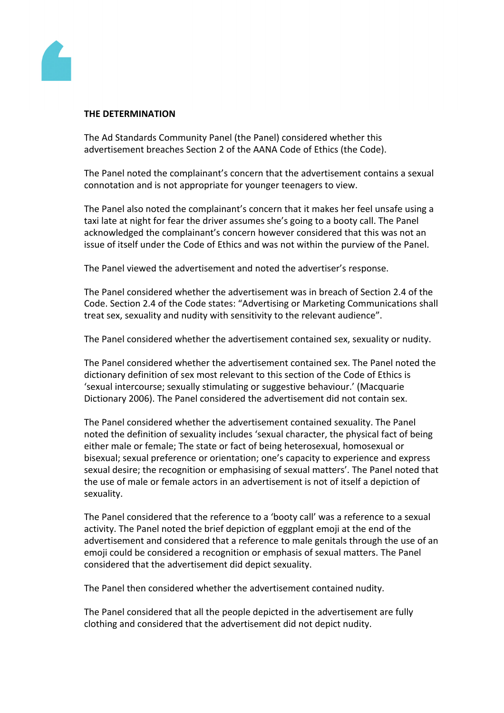

#### **THE DETERMINATION**

The Ad Standards Community Panel (the Panel) considered whether this advertisement breaches Section 2 of the AANA Code of Ethics (the Code).

The Panel noted the complainant's concern that the advertisement contains a sexual connotation and is not appropriate for younger teenagers to view.

The Panel also noted the complainant's concern that it makes her feel unsafe using a taxi late at night for fear the driver assumes she's going to a booty call. The Panel acknowledged the complainant's concern however considered that this was not an issue of itself under the Code of Ethics and was not within the purview of the Panel.

The Panel viewed the advertisement and noted the advertiser's response.

The Panel considered whether the advertisement was in breach of Section 2.4 of the Code. Section 2.4 of the Code states: "Advertising or Marketing Communications shall treat sex, sexuality and nudity with sensitivity to the relevant audience".

The Panel considered whether the advertisement contained sex, sexuality or nudity.

The Panel considered whether the advertisement contained sex. The Panel noted the dictionary definition of sex most relevant to this section of the Code of Ethics is 'sexual intercourse; sexually stimulating or suggestive behaviour.' (Macquarie Dictionary 2006). The Panel considered the advertisement did not contain sex.

The Panel considered whether the advertisement contained sexuality. The Panel noted the definition of sexuality includes 'sexual character, the physical fact of being either male or female; The state or fact of being heterosexual, homosexual or bisexual; sexual preference or orientation; one's capacity to experience and express sexual desire; the recognition or emphasising of sexual matters'. The Panel noted that the use of male or female actors in an advertisement is not of itself a depiction of sexuality.

The Panel considered that the reference to a 'booty call' was a reference to a sexual activity. The Panel noted the brief depiction of eggplant emoji at the end of the advertisement and considered that a reference to male genitals through the use of an emoji could be considered a recognition or emphasis of sexual matters. The Panel considered that the advertisement did depict sexuality.

The Panel then considered whether the advertisement contained nudity.

The Panel considered that all the people depicted in the advertisement are fully clothing and considered that the advertisement did not depict nudity.